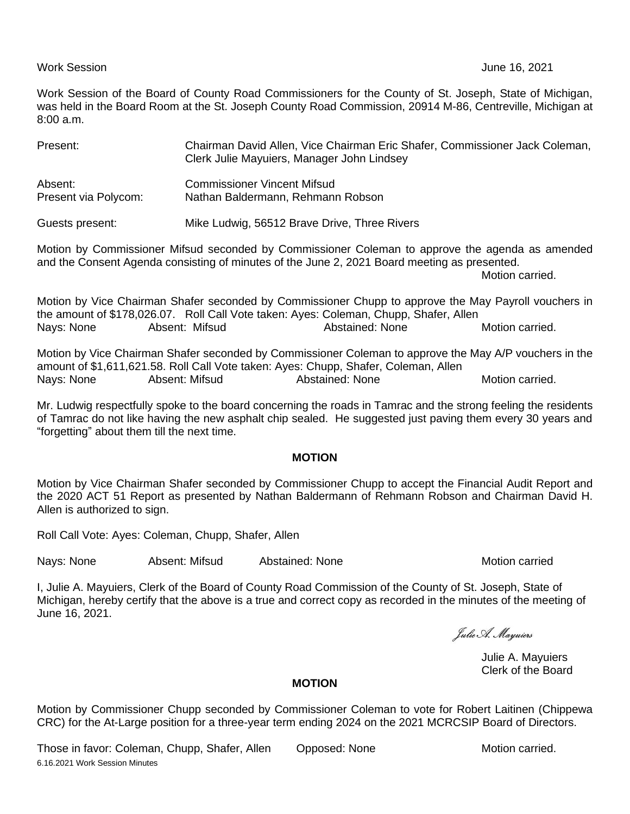### Work Session June 16, 2021

Work Session of the Board of County Road Commissioners for the County of St. Joseph, State of Michigan, was held in the Board Room at the St. Joseph County Road Commission, 20914 M-86, Centreville, Michigan at 8:00 a.m.

| Present:                        | Chairman David Allen, Vice Chairman Eric Shafer, Commissioner Jack Coleman,<br>Clerk Julie Mayuiers, Manager John Lindsey                                                                       |
|---------------------------------|-------------------------------------------------------------------------------------------------------------------------------------------------------------------------------------------------|
| Absent:<br>Present via Polycom: | <b>Commissioner Vincent Mifsud</b><br>Nathan Baldermann, Rehmann Robson                                                                                                                         |
| Guests present:                 | Mike Ludwig, 56512 Brave Drive, Three Rivers                                                                                                                                                    |
|                                 | Motion by Commissioner Mifsud seconded by Commissioner Coleman to approve the agenda as amended<br>and the Consent Agenda consisting of minutes of the June 2, 2021 Board meeting as presented. |

Motion carried.

Motion by Vice Chairman Shafer seconded by Commissioner Chupp to approve the May Payroll vouchers in the amount of \$178,026.07. Roll Call Vote taken: Ayes: Coleman, Chupp, Shafer, Allen Nays: None **Absent: Mifsud** Abstained: None Motion carried.

Motion by Vice Chairman Shafer seconded by Commissioner Coleman to approve the May A/P vouchers in the amount of \$1,611,621.58. Roll Call Vote taken: Ayes: Chupp, Shafer, Coleman, Allen Nays: None Absent: Mifsud Abstained: None Motion carried.

Mr. Ludwig respectfully spoke to the board concerning the roads in Tamrac and the strong feeling the residents of Tamrac do not like having the new asphalt chip sealed. He suggested just paving them every 30 years and "forgetting" about them till the next time.

# **MOTION**

Motion by Vice Chairman Shafer seconded by Commissioner Chupp to accept the Financial Audit Report and the 2020 ACT 51 Report as presented by Nathan Baldermann of Rehmann Robson and Chairman David H. Allen is authorized to sign.

Roll Call Vote: Ayes: Coleman, Chupp, Shafer, Allen

Nays: None **Absent: Mifsud** Abstained: None **Abstained: None** Motion carried

I, Julie A. Mayuiers, Clerk of the Board of County Road Commission of the County of St. Joseph, State of Michigan, hereby certify that the above is a true and correct copy as recorded in the minutes of the meeting of June 16, 2021.

Julie A. Mayuiers

Julie A. Mayuiers Clerk of the Board

## **MOTION**

Motion by Commissioner Chupp seconded by Commissioner Coleman to vote for Robert Laitinen (Chippewa CRC) for the At-Large position for a three-year term ending 2024 on the 2021 MCRCSIP Board of Directors.